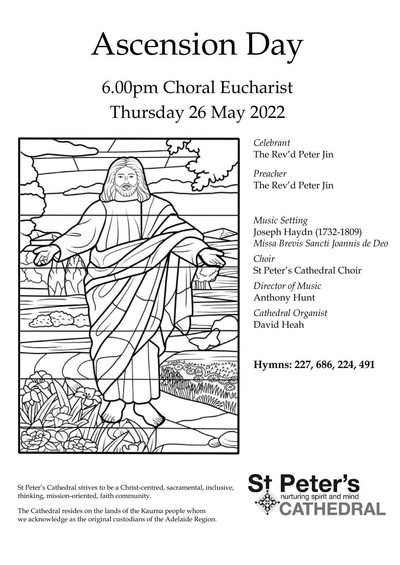# Ascension Day

6.00pm Choral Eucharist Thursday 26 May 2022



*Celebrant* The Rev'd Peter Jin

*Preacher* The Rev'd Peter Jin

*Music Setting* Joseph Haydn (1732-1809) *Missa Brevis Sancti Joannis de Deo*

*Choir* St Peter's Cathedral Choir

*Director of Music* Anthony Hunt

*Cathedral Organist* David Heah

**Hymns: 227, 686, 224, 491**



St Peter's Cathedral strives to be a Christ-centred, sacramental, inclusive, thinking, mission-oriented, faith community.

The Cathedral resides on the lands of the Kaurna people whom we acknowledge as the original custodians of the Adelaide Region.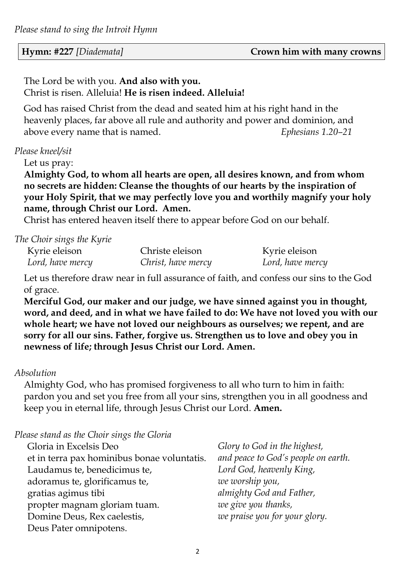The Lord be with you. **And also with you.** Christ is risen. Alleluia! **He is risen indeed. Alleluia!**

God has raised Christ from the dead and seated him at his right hand in the heavenly places, far above all rule and authority and power and dominion, and above every name that is named. *Ephesians 1.20–21*

*Please kneel/sit*

Let us pray:

**Almighty God, to whom all hearts are open, all desires known, and from whom no secrets are hidden: Cleanse the thoughts of our hearts by the inspiration of your Holy Spirit, that we may perfectly love you and worthily magnify your holy name, through Christ our Lord. Amen.**

Christ has entered heaven itself there to appear before God on our behalf.

#### *The Choir sings the Kyrie*

| Kyrie eleison    | Christe eleison    | Kyrie eleison    |
|------------------|--------------------|------------------|
| Lord, have mercy | Christ, have mercy | Lord, have mercy |

Let us therefore draw near in full assurance of faith, and confess our sins to the God of grace.

**Merciful God, our maker and our judge, we have sinned against you in thought, word, and deed, and in what we have failed to do: We have not loved you with our whole heart; we have not loved our neighbours as ourselves; we repent, and are sorry for all our sins. Father, forgive us. Strengthen us to love and obey you in newness of life; through Jesus Christ our Lord. Amen.**

#### *Absolution*

Almighty God, who has promised forgiveness to all who turn to him in faith: pardon you and set you free from all your sins, strengthen you in all goodness and keep you in eternal life, through Jesus Christ our Lord. **Amen.**

*Please stand as the Choir sings the Gloria*

| Gloria in Excelsis Deo                      | Glory to God in the highest,        |
|---------------------------------------------|-------------------------------------|
| et in terra pax hominibus bonae voluntatis. | and peace to God's people on earth. |
| Laudamus te, benedicimus te,                | Lord God, heavenly King,            |
| adoramus te, glorificamus te,               | we worship you,                     |
| gratias agimus tibi                         | almighty God and Father,            |
| propter magnam gloriam tuam.                | we give you thanks,                 |
| Domine Deus, Rex caelestis,                 | we praise you for your glory.       |
| Deus Pater omnipotens.                      |                                     |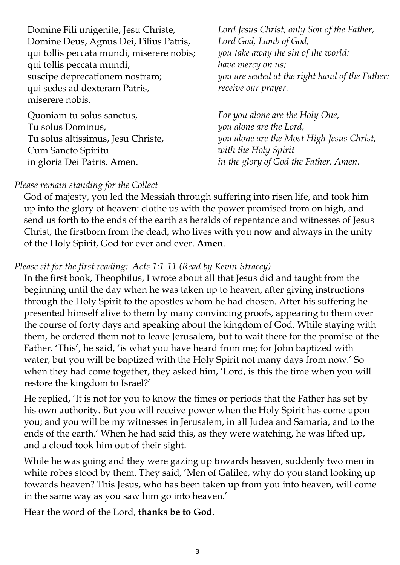Domine Fili unigenite, Jesu Christe, *Lord Jesus Christ, only Son of the Father,* Domine Deus, Agnus Dei, Filius Patris, *Lord God, Lamb of God,* qui tollis peccata mundi, miserere nobis; *you take away the sin of the world:* qui tollis peccata mundi, *have mercy on us;* qui sedes ad dexteram Patris, *receive our prayer.* miserere nobis.

Quoniam tu solus sanctus, *For you alone are the Holy One,* Tu solus Dominus, *you alone are the Lord,* Cum Sancto Spiritu *with the Holy Spirit*

suscipe deprecationem nostram; *you are seated at the right hand of the Father:* 

Tu solus altissimus, Jesu Christe, *you alone are the Most High Jesus Christ,* in gloria Dei Patris. Amen. *in the glory of God the Father. Amen.*

## *Please remain standing for the Collect*

God of majesty, you led the Messiah through suffering into risen life, and took him up into the glory of heaven: clothe us with the power promised from on high, and send us forth to the ends of the earth as heralds of repentance and witnesses of Jesus Christ, the firstborn from the dead, who lives with you now and always in the unity of the Holy Spirit, God for ever and ever. **Amen**.

# *Please sit for the first reading: Acts 1:1-11 (Read by Kevin Stracey)*

In the first book, Theophilus, I wrote about all that Jesus did and taught from the beginning until the day when he was taken up to heaven, after giving instructions through the Holy Spirit to the apostles whom he had chosen. After his suffering he presented himself alive to them by many convincing proofs, appearing to them over the course of forty days and speaking about the kingdom of God. While staying with them, he ordered them not to leave Jerusalem, but to wait there for the promise of the Father. 'This', he said, 'is what you have heard from me; for John baptized with water, but you will be baptized with the Holy Spirit not many days from now.' So when they had come together, they asked him, 'Lord, is this the time when you will restore the kingdom to Israel?'

He replied, 'It is not for you to know the times or periods that the Father has set by his own authority. But you will receive power when the Holy Spirit has come upon you; and you will be my witnesses in Jerusalem, in all Judea and Samaria, and to the ends of the earth.' When he had said this, as they were watching, he was lifted up, and a cloud took him out of their sight.

While he was going and they were gazing up towards heaven, suddenly two men in white robes stood by them. They said, 'Men of Galilee, why do you stand looking up towards heaven? This Jesus, who has been taken up from you into heaven, will come in the same way as you saw him go into heaven.'

Hear the word of the Lord, **thanks be to God**.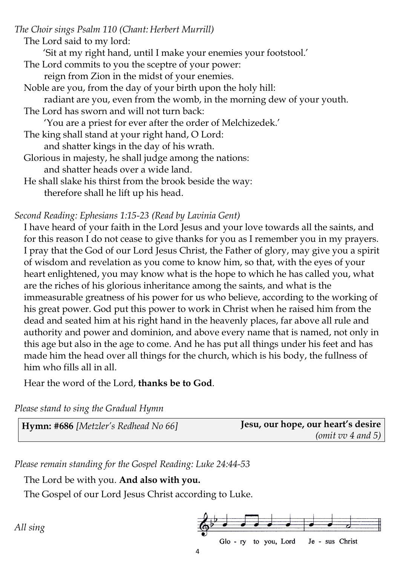*The Choir sings Psalm 110 (Chant: Herbert Murrill)* The Lord said to my lord: 'Sit at my right hand, until I make your enemies your footstool.' The Lord commits to you the sceptre of your power: reign from Zion in the midst of your enemies. Noble are you, from the day of your birth upon the holy hill: radiant are you, even from the womb, in the morning dew of your youth. The Lord has sworn and will not turn back: 'You are a priest for ever after the order of Melchizedek.' The king shall stand at your right hand, O Lord: and shatter kings in the day of his wrath. Glorious in majesty, he shall judge among the nations: and shatter heads over a wide land. He shall slake his thirst from the brook beside the way: therefore shall he lift up his head.

*Second Reading: Ephesians 1:15-23 (Read by Lavinia Gent)*

I have heard of your faith in the Lord Jesus and your love towards all the saints, and for this reason I do not cease to give thanks for you as I remember you in my prayers. I pray that the God of our Lord Jesus Christ, the Father of glory, may give you a spirit of wisdom and revelation as you come to know him, so that, with the eyes of your heart enlightened, you may know what is the hope to which he has called you, what are the riches of his glorious inheritance among the saints, and what is the immeasurable greatness of his power for us who believe, according to the working of his great power. God put this power to work in Christ when he raised him from the dead and seated him at his right hand in the heavenly places, far above all rule and authority and power and dominion, and above every name that is named, not only in this age but also in the age to come. And he has put all things under his feet and has made him the head over all things for the church, which is his body, the fullness of him who fills all in all.

Hear the word of the Lord, **thanks be to God**.

*Please stand to sing the Gradual Hymn*

| <b>Hymn:</b> #686 [Metzler's Redhead No 66] | Jesu, our hope, our heart's desire |
|---------------------------------------------|------------------------------------|
|                                             | (omit $vv$ 4 and 5)                |

*Please remain standing for the Gospel Reading: Luke 24:44-53*

The Lord be with you. **And also with you.**

The Gospel of our Lord Jesus Christ according to Luke.

*All sing*

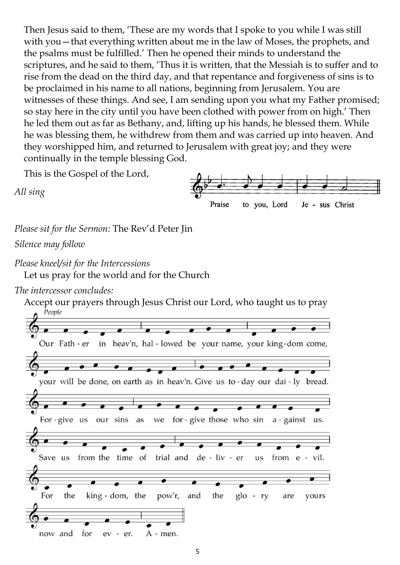Then Jesus said to them, 'These are my words that I spoke to you while I was still with you—that everything written about me in the law of Moses, the prophets, and the psalms must be fulfilled.' Then he opened their minds to understand the scriptures, and he said to them, 'Thus it is written, that the Messiah is to suffer and to rise from the dead on the third day, and that repentance and forgiveness of sins is to be proclaimed in his name to all nations, beginning from Jerusalem. You are witnesses of these things. And see, I am sending upon you what my Father promised; so stay here in the city until you have been clothed with power from on high.' Then he led them out as far as Bethany, and, lifting up his hands, he blessed them. While he was blessing them, he withdrew from them and was carried up into heaven. And they worshipped him, and returned to Jerusalem with great joy; and they were continually in the temple blessing God.

This is the Gospel of the Lord,





*Please sit for the Sermon:* The Rev'd Peter Jin *Silence may follow*

*Please kneel/sit for the Intercessions*

Let us pray for the world and for the Church

*The intercessor concludes:*

Accept our prayers through Jesus Christ our Lord, who taught us to prayPeople

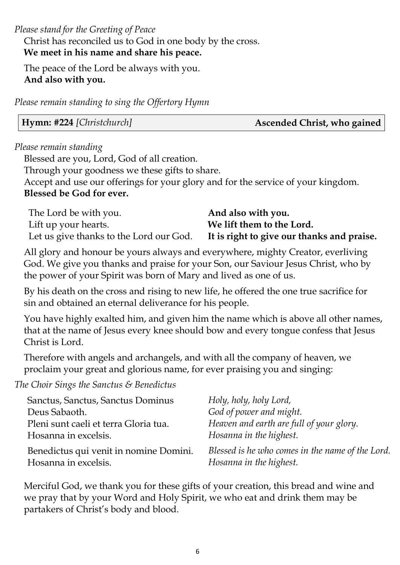# *Please stand for the Greeting of Peace*

Christ has reconciled us to God in one body by the cross. **We meet in his name and share his peace.**

The peace of the Lord be always with you.

**And also with you.**

*Please remain standing to sing the Offertory Hymn*

# **Hymn: #224** *[Christchurch]* **Ascended Christ, who gained**

*Please remain standing*

Blessed are you, Lord, God of all creation.

Through your goodness we these gifts to share.

Accept and use our offerings for your glory and for the service of your kingdom. **Blessed be God for ever.**

| The Lord be with you.                   | And also with you.                         |
|-----------------------------------------|--------------------------------------------|
| Lift up your hearts.                    | We lift them to the Lord.                  |
| Let us give thanks to the Lord our God. | It is right to give our thanks and praise. |

All glory and honour be yours always and everywhere, mighty Creator, everliving God. We give you thanks and praise for your Son, our Saviour Jesus Christ, who by the power of your Spirit was born of Mary and lived as one of us.

By his death on the cross and rising to new life, he offered the one true sacrifice for sin and obtained an eternal deliverance for his people.

You have highly exalted him, and given him the name which is above all other names, that at the name of Jesus every knee should bow and every tongue confess that Jesus Christ is Lord.

Therefore with angels and archangels, and with all the company of heaven, we proclaim your great and glorious name, for ever praising you and singing:

*The Choir Sings the Sanctus & Benedictus* 

| Sanctus, Sanctus, Sanctus Dominus                              | Holy, holy, holy Lord,                                                      |
|----------------------------------------------------------------|-----------------------------------------------------------------------------|
| Deus Sabaoth.                                                  | God of power and might.                                                     |
| Pleni sunt caeli et terra Gloria tua.                          | Heaven and earth are full of your glory.                                    |
| Hosanna in excelsis.                                           | Hosanna in the highest.                                                     |
| Benedictus qui venit in nomine Domini.<br>Hosanna in excelsis. | Blessed is he who comes in the name of the Lord.<br>Hosanna in the highest. |

Merciful God, we thank you for these gifts of your creation, this bread and wine and we pray that by your Word and Holy Spirit, we who eat and drink them may be partakers of Christ's body and blood.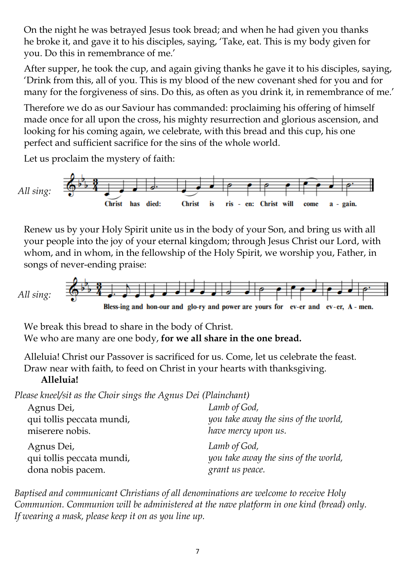On the night he was betrayed Jesus took bread; and when he had given you thanks he broke it, and gave it to his disciples, saying, 'Take, eat. This is my body given for you. Do this in remembrance of me.'

After supper, he took the cup, and again giving thanks he gave it to his disciples, saying, 'Drink from this, all of you. This is my blood of the new covenant shed for you and for many for the forgiveness of sins. Do this, as often as you drink it, in remembrance of me.'

Therefore we do as our Saviour has commanded: proclaiming his offering of himself made once for all upon the cross, his mighty resurrection and glorious ascension, and looking for his coming again, we celebrate, with this bread and this cup, his one perfect and sufficient sacrifice for the sins of the whole world.

Let us proclaim the mystery of faith:



Renew us by your Holy Spirit unite us in the body of your Son, and bring us with all your people into the joy of your eternal kingdom; through Jesus Christ our Lord, with whom, and in whom, in the fellowship of the Holy Spirit, we worship you, Father, in songs of never-ending praise:



We break this bread to share in the body of Christ. We who are many are one body, **for we all share in the one bread.**

Alleluia! Christ our Passover is sacrificed for us. Come, let us celebrate the feast. Draw near with faith, to feed on Christ in your hearts with thanksgiving. **Alleluia!**

*Please kneel/sit as the Choir sings the Agnus Dei (Plainchant)*

| Agnus Dei,                | Lamb of God,                         |
|---------------------------|--------------------------------------|
| qui tollis peccata mundi, | you take away the sins of the world, |
| miserere nobis.           | have mercy upon us.                  |
| Agnus Dei,                | Lamb of God,                         |
| qui tollis peccata mundi, | you take away the sins of the world, |
| dona nobis pacem.         | grant us peace.                      |

*Baptised and communicant Christians of all denominations are welcome to receive Holy Communion. Communion will be administered at the nave platform in one kind (bread) only. If wearing a mask, please keep it on as you line up.*